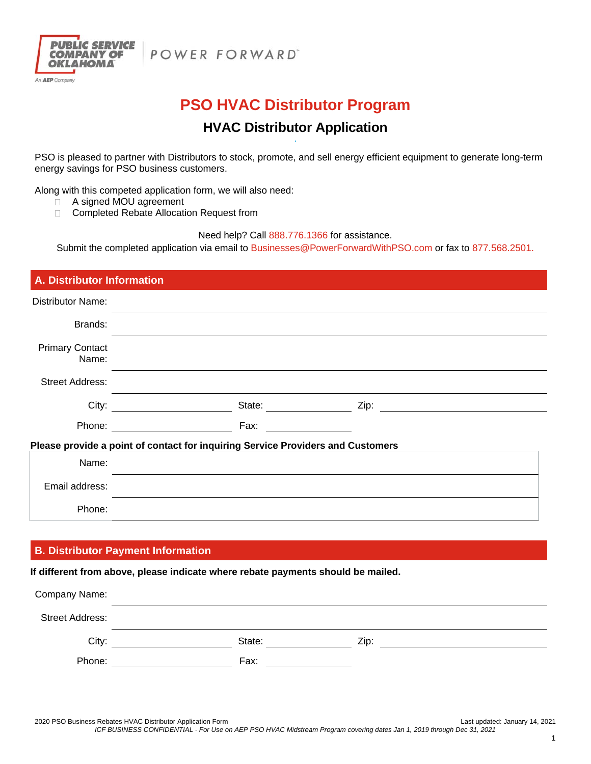

## **PSO HVAC Distributor Program**

### **HVAC Distributor Application .**

PSO is pleased to partner with Distributors to stock, promote, and sell energy efficient equipment to generate long-term energy savings for PSO business customers.

Along with this competed application form, we will also need:

- □ A signed MOU agreement
- □ Completed Rebate Allocation Request from

Need help? Call 888.776.1366 for assistance.

Submit the completed application via email to Businesses@PowerForwardWithPSO.com or fax to 877.568.2501.

# **A. Distributor Information**  Distributor Name: Brands: Primary Contact Name: Street Address: City: <u>City:</u> State: <u>City:</u> State: Zip: 21-Phone: Fax: **Please provide a point of contact for inquiring Service Providers and Customers**  Name: Email address: Phone:

#### **B. Distributor Payment Information**

#### **If different from above, please indicate where rebate payments should be mailed.**

| State: | Zip: |  |
|--------|------|--|
| Fax:   |      |  |
|        |      |  |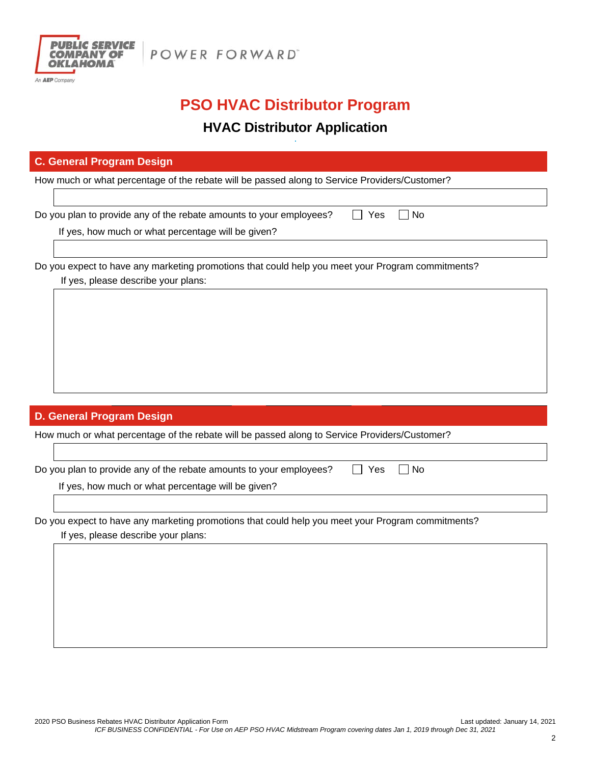

## **PSO HVAC Distributor Program**

### **HVAC Distributor Application .**

#### **C. General Program Design**

How much or what percentage of the rebate will be passed along to Service Providers/Customer?

Do you plan to provide any of the rebate amounts to your employees?  $\Box$  Yes  $\Box$  No

If yes, how much or what percentage will be given?

Do you expect to have any marketing promotions that could help you meet your Program commitments? If yes, please describe your plans:

#### **D. General Program Design**

How much or what percentage of the rebate will be passed along to Service Providers/Customer?

Do you plan to provide any of the rebate amounts to your employees?  $\Box$  Yes  $\Box$  No

If yes, how much or what percentage will be given?

Do you expect to have any marketing promotions that could help you meet your Program commitments? If yes, please describe your plans: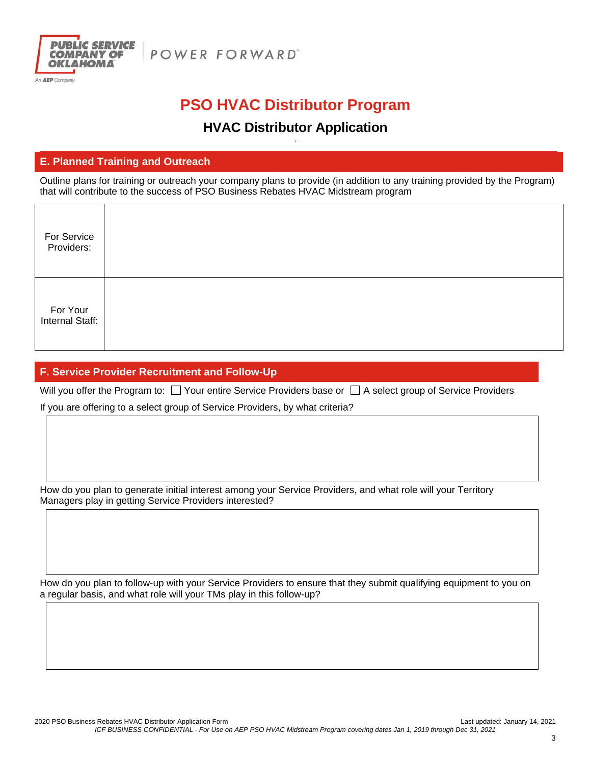

## **PSO HVAC Distributor Program**

### **HVAC Distributor Application .**

#### **E. Planned Training and Outreach**

Outline plans for training or outreach your company plans to provide (in addition to any training provided by the Program) that will contribute to the success of PSO Business Rebates HVAC Midstream program

| For Service<br>Providers:   |  |
|-----------------------------|--|
| For Your<br>Internal Staff: |  |

#### **F. Service Provider Recruitment and Follow-Up**

Will you offer the Program to:  $\Box$  Your entire Service Providers base or  $\Box$  A select group of Service Providers

If you are offering to a select group of Service Providers, by what criteria?

How do you plan to generate initial interest among your Service Providers, and what role will your Territory Managers play in getting Service Providers interested?

How do you plan to follow-up with your Service Providers to ensure that they submit qualifying equipment to you on a regular basis, and what role will your TMs play in this follow-up?